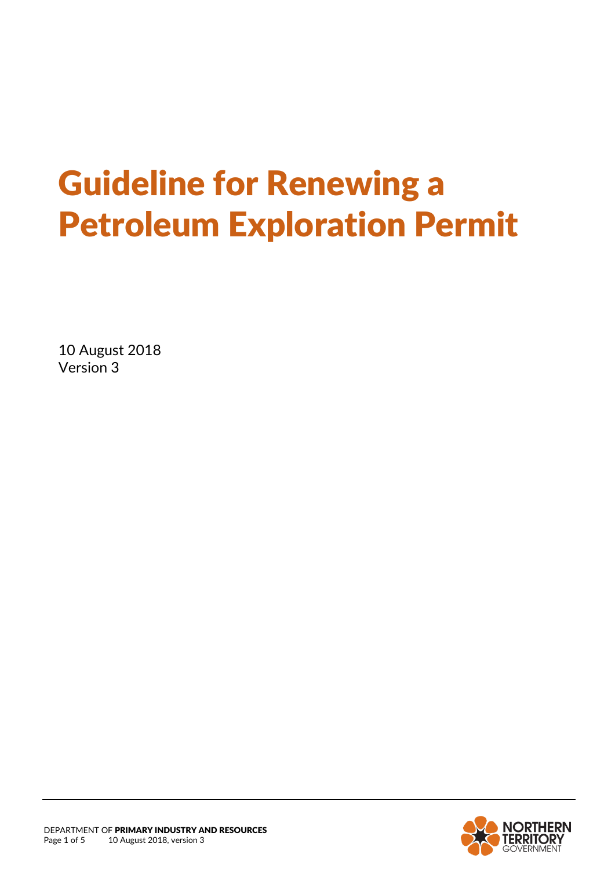# Guideline for Renewing a Petroleum Exploration Permit

10 August 2018 Version 3

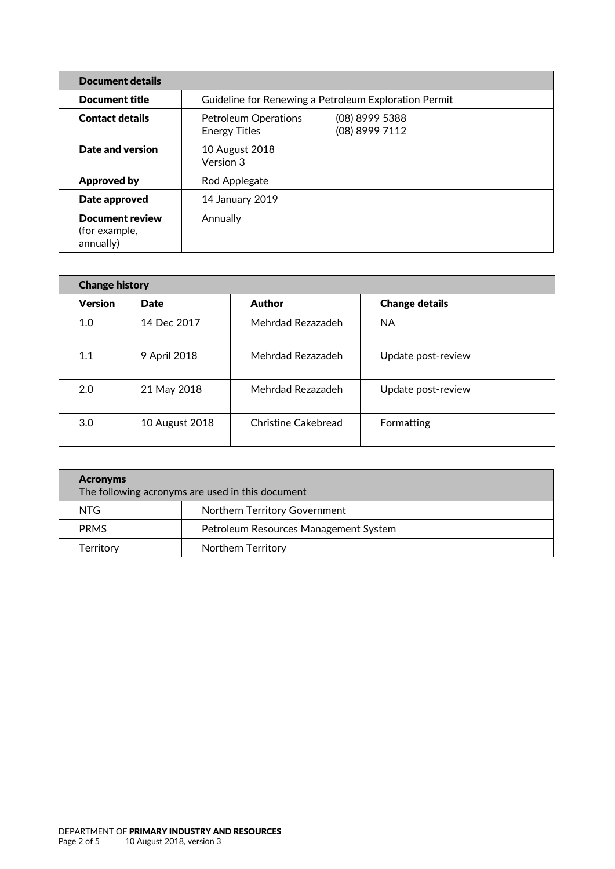| <b>Document details</b>                              |                                                       |                                  |  |  |
|------------------------------------------------------|-------------------------------------------------------|----------------------------------|--|--|
| <b>Document title</b>                                | Guideline for Renewing a Petroleum Exploration Permit |                                  |  |  |
| <b>Contact details</b>                               | <b>Petroleum Operations</b><br><b>Energy Titles</b>   | (08) 8999 5388<br>(08) 8999 7112 |  |  |
| Date and version                                     | 10 August 2018<br>Version 3                           |                                  |  |  |
| Approved by                                          | Rod Applegate                                         |                                  |  |  |
| Date approved                                        | 14 January 2019                                       |                                  |  |  |
| <b>Document review</b><br>(for example,<br>annually) | Annually                                              |                                  |  |  |

| <b>Change history</b> |                |                     |                       |  |  |
|-----------------------|----------------|---------------------|-----------------------|--|--|
| <b>Version</b>        | <b>Date</b>    | <b>Author</b>       | <b>Change details</b> |  |  |
| 1.0                   | 14 Dec 2017    | Mehrdad Rezazadeh   | <b>NA</b>             |  |  |
| 1.1                   | 9 April 2018   | Mehrdad Rezazadeh   | Update post-review    |  |  |
| 2.0                   | 21 May 2018    | Mehrdad Rezazadeh   | Update post-review    |  |  |
| 3.0                   | 10 August 2018 | Christine Cakebread | Formatting            |  |  |

| <b>Acronyms</b><br>The following acronyms are used in this document |                                       |  |  |
|---------------------------------------------------------------------|---------------------------------------|--|--|
| NTG.                                                                | Northern Territory Government         |  |  |
| <b>PRMS</b>                                                         | Petroleum Resources Management System |  |  |
| Territory                                                           | Northern Territory                    |  |  |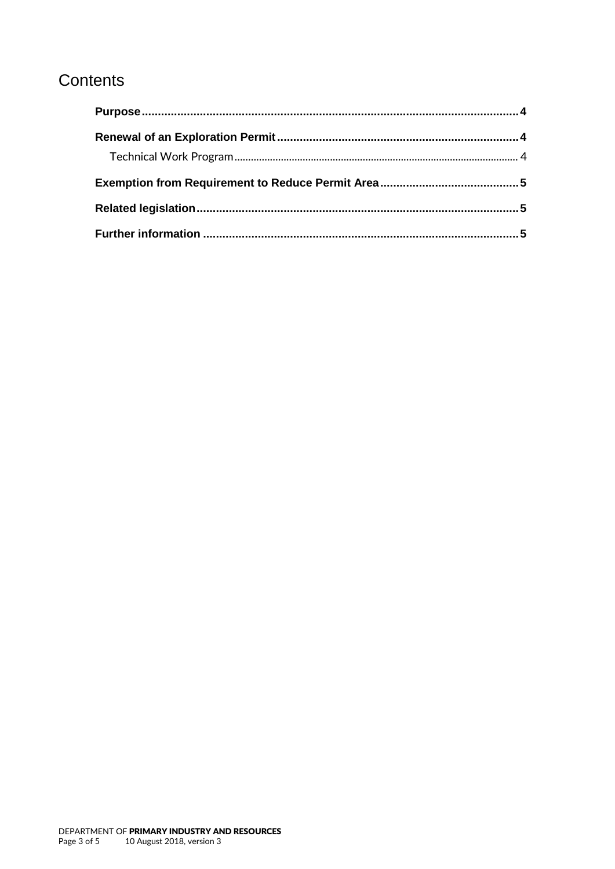## Contents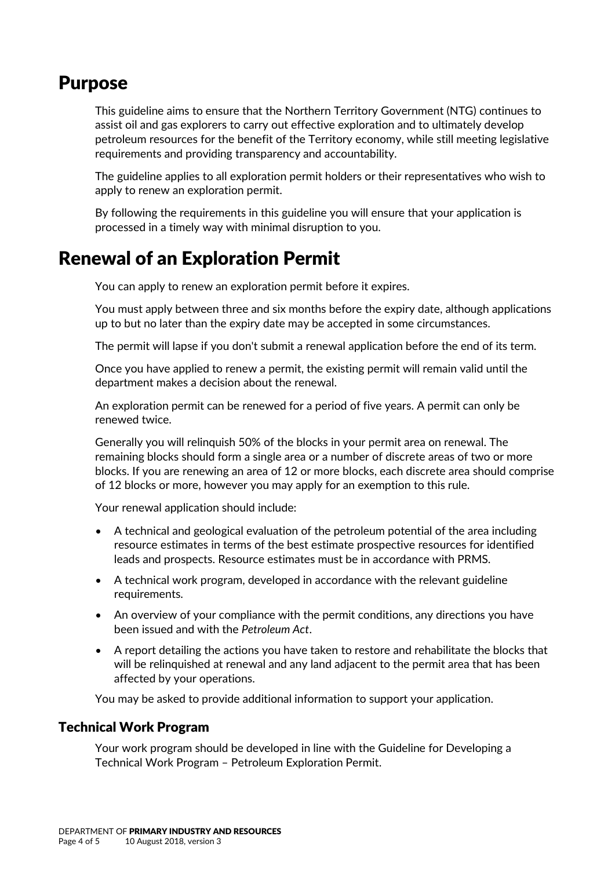### <span id="page-3-0"></span>Purpose

This guideline aims to ensure that the Northern Territory Government (NTG) continues to assist oil and gas explorers to carry out effective exploration and to ultimately develop petroleum resources for the benefit of the Territory economy, while still meeting legislative requirements and providing transparency and accountability.

The guideline applies to all exploration permit holders or their representatives who wish to apply to renew an exploration permit.

By following the requirements in this guideline you will ensure that your application is processed in a timely way with minimal disruption to you.

## <span id="page-3-1"></span>Renewal of an Exploration Permit

You can apply to renew an exploration permit before it expires.

You must apply between three and six months before the expiry date, although applications up to but no later than the expiry date may be accepted in some circumstances.

The permit will lapse if you don't submit a renewal application before the end of its term.

Once you have applied to renew a permit, the existing permit will remain valid until the department makes a decision about the renewal.

An exploration permit can be renewed for a period of five years. A permit can only be renewed twice.

Generally you will relinquish 50% of the blocks in your permit area on renewal. The remaining blocks should form a single area or a number of discrete areas of two or more blocks. If you are renewing an area of 12 or more blocks, each discrete area should comprise of 12 blocks or more, however you may apply for an exemption to this rule.

Your renewal application should include:

- A technical and geological evaluation of the petroleum potential of the area including resource estimates in terms of the best estimate prospective resources for identified leads and prospects. Resource estimates must be in accordance with PRMS.
- A technical work program, developed in accordance with the relevant guideline requirements.
- An overview of your compliance with the permit conditions, any directions you have been issued and with the *Petroleum Act*.
- A report detailing the actions you have taken to restore and rehabilitate the blocks that will be relinquished at renewal and any land adjacent to the permit area that has been affected by your operations.

You may be asked to provide additional information to support your application.

#### <span id="page-3-2"></span>Technical Work Program

Your work program should be developed in line with the Guideline for Developing a Technical Work Program – Petroleum Exploration Permit.